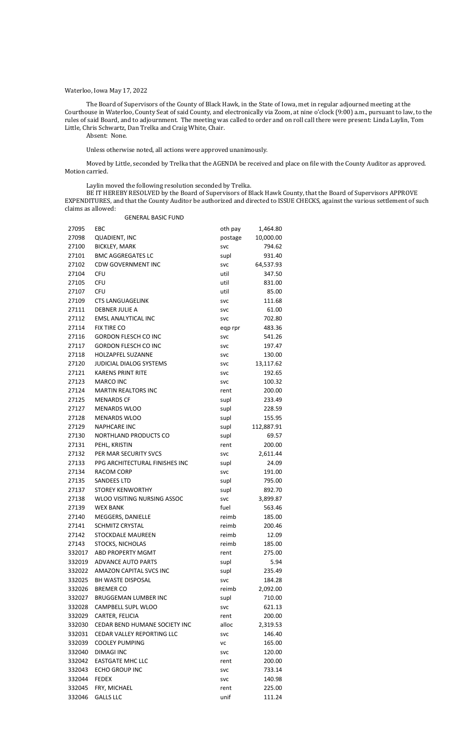## Waterloo, Iowa May 17, 2022

The Board of Supervisors of the County of Black Hawk, in the State of Iowa, met in regular adjourned meeting at the Courthouse in Waterloo, County Seat of said County, and electronically via Zoom, at nine o'clock (9:00) a.m., pursuant to law, to the rules of said Board, and to adjournment. The meeting was called to order and on roll call there were present: Linda Laylin, Tom Little, Chris Schwartz, Dan Trelka and Craig White, Chair.

Absent: None.

Unless otherwise noted, all actions were approved unanimously.

Moved by Little, seconded by Trelka that the AGENDA be received and place on file with the County Auditor as approved. Motion carried.

Laylin moved the following resolution seconded by Trelka.

BE IT HEREBY RESOLVED by the Board of Supervisors of Black Hawk County, that the Board of Supervisors APPROVE EXPENDITURES, and that the County Auditor be authorized and directed to ISSUE CHECKS, against the various settlement of such claims as allowed:

GENERAL BASIC FUND

| 27095  | EBC                            | oth pay            | 1,464.80   |
|--------|--------------------------------|--------------------|------------|
| 27098  | <b>QUADIENT, INC</b>           | postage            | 10,000.00  |
| 27100  | <b>BICKLEY, MARK</b>           | <b>SVC</b>         | 794.62     |
| 27101  | <b>BMC AGGREGATES LC</b>       | supl               | 931.40     |
| 27102  | <b>CDW GOVERNMENT INC</b>      | <b>SVC</b>         | 64,537.93  |
| 27104  | <b>CFU</b>                     | util               | 347.50     |
| 27105  | <b>CFU</b>                     | util               | 831.00     |
| 27107  | <b>CFU</b>                     | util               | 85.00      |
| 27109  | <b>CTS LANGUAGELINK</b>        | <b>SVC</b>         | 111.68     |
| 27111  | <b>DEBNER JULIE A</b>          | <b>SVC</b>         | 61.00      |
| 27112  | <b>EMSL ANALYTICAL INC</b>     | <b>SVC</b>         | 702.80     |
| 27114  | FIX TIRE CO                    | eqp rpr            | 483.36     |
| 27116  | <b>GORDON FLESCH CO INC</b>    | <b>SVC</b>         | 541.26     |
| 27117  | <b>GORDON FLESCH CO INC</b>    | <b>SVC</b>         | 197.47     |
| 27118  | <b>HOLZAPFEL SUZANNE</b>       | <b>SVC</b>         | 130.00     |
| 27120  | <b>JUDICIAL DIALOG SYSTEMS</b> | <b>SVC</b>         | 13,117.62  |
| 27121  | <b>KARENS PRINT RITE</b>       | <b>SVC</b>         | 192.65     |
| 27123  | <b>MARCO INC</b>               | <b>SVC</b>         | 100.32     |
| 27124  | <b>MARTIN REALTORS INC</b>     | rent               | 200.00     |
| 27125  | <b>MENARDS CF</b>              | supl               | 233.49     |
| 27127  | <b>MENARDS WLOO</b>            | supl               | 228.59     |
| 27128  | <b>MENARDS WLOO</b>            | supl               | 155.95     |
| 27129  | <b>NAPHCARE INC</b>            | supl               | 112,887.91 |
| 27130  | NORTHLAND PRODUCTS CO          | supl               | 69.57      |
| 27131  | PEHL, KRISTIN                  | rent               | 200.00     |
| 27132  | PER MAR SECURITY SVCS          |                    | 2,611.44   |
| 27133  | PPG ARCHITECTURAL FINISHES INC | <b>SVC</b>         | 24.09      |
| 27134  | RACOM CORP                     | supl<br><b>SVC</b> | 191.00     |
| 27135  | <b>SANDEES LTD</b>             | supl               | 795.00     |
| 27137  | <b>STOREY KENWORTHY</b>        | supl               | 892.70     |
| 27138  | WLOO VISITING NURSING ASSOC    |                    | 3,899.87   |
| 27139  | <b>WEX BANK</b>                | <b>SVC</b><br>fuel | 563.46     |
| 27140  | MEGGERS, DANIELLE              | reimb              | 185.00     |
|        |                                |                    |            |
| 27141  | <b>SCHMITZ CRYSTAL</b>         | reimb              | 200.46     |
| 27142  | <b>STOCKDALE MAUREEN</b>       | reimb              | 12.09      |
| 27143  | STOCKS, NICHOLAS               | reimb              | 185.00     |
| 332017 | ABD PROPERTY MGMT              | rent               | 275.00     |
| 332019 | <b>ADVANCE AUTO PARTS</b>      | supl               | 5.94       |
| 332022 | AMAZON CAPITAL SVCS INC        | supl               | 235.49     |
| 332025 | <b>BH WASTE DISPOSAL</b>       | <b>SVC</b>         | 184.28     |
| 332026 | <b>BREMER CO</b>               | reimb              | 2,092.00   |
| 332027 | <b>BRUGGEMAN LUMBER INC</b>    | supl               | 710.00     |
| 332028 | CAMPBELL SUPL WLOO             | <b>SVC</b>         | 621.13     |
| 332029 | CARTER, FELICIA                | rent               | 200.00     |
| 332030 | CEDAR BEND HUMANE SOCIETY INC  | alloc              | 2,319.53   |
| 332031 | CEDAR VALLEY REPORTING LLC     | <b>SVC</b>         | 146.40     |
| 332039 | <b>COOLEY PUMPING</b>          | <b>VC</b>          | 165.00     |
| 332040 | <b>DIMAGI INC</b>              | <b>SVC</b>         | 120.00     |
| 332042 | <b>EASTGATE MHC LLC</b>        | rent               | 200.00     |
| 332043 | <b>ECHO GROUP INC</b>          | <b>SVC</b>         | 733.14     |
| 332044 | <b>FEDEX</b>                   | <b>SVC</b>         | 140.98     |
| 332045 | FRY, MICHAEL                   | rent               | 225.00     |
| 332046 | <b>GALLS LLC</b>               | unif               | 111.24     |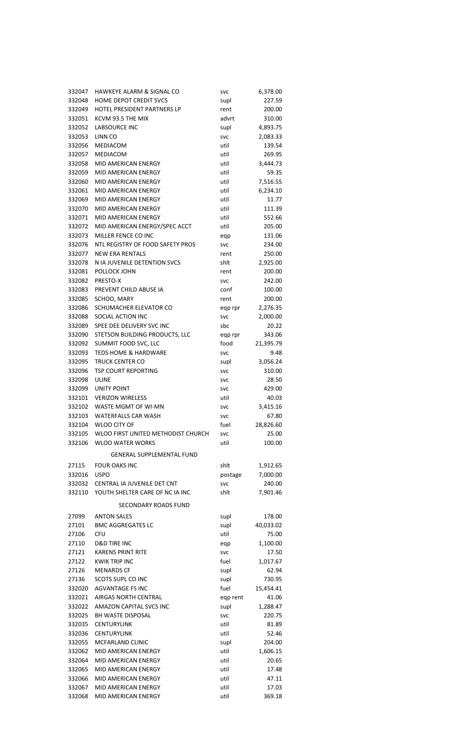| 332047           | <b>HAWKEYE ALARM &amp; SIGNAL CO</b>                    | <b>SVC</b>         | 6,378.00          |
|------------------|---------------------------------------------------------|--------------------|-------------------|
| 332048           | HOME DEPOT CREDIT SVCS                                  | supl               | 227.59            |
| 332049           | HOTEL PRESIDENT PARTNERS LP                             | rent               | 200.00            |
| 332051           | KCVM 93.5 THE MIX                                       | advrt              | 310.00            |
| 332052           | <b>LABSOURCE INC</b>                                    | supl               | 4,893.75          |
| 332053           | LINN CO                                                 | <b>SVC</b>         | 2,083.33          |
| 332056           | MEDIACOM                                                | util               | 139.54            |
| 332057           | <b>MEDIACOM</b>                                         | util               | 269.95            |
| 332058           | <b>MID AMERICAN ENERGY</b>                              | util               | 3,444.73          |
| 332059           | MID AMERICAN ENERGY                                     | util               | 59.35             |
| 332060           | MID AMERICAN ENERGY                                     | util               | 7,516.55          |
| 332061           | MID AMERICAN ENERGY                                     | util               | 6,234.10          |
| 332069           | MID AMERICAN ENERGY                                     | util               | 11.77             |
| 332070           | <b>MID AMERICAN ENERGY</b>                              | util               | 111.39            |
| 332071           | <b>MID AMERICAN ENERGY</b>                              | util               | 552.66            |
| 332072           | MID AMERICAN ENERGY/SPEC ACCT                           | util               | 205.00            |
| 332073           | MILLER FENCE CO INC                                     | eqp                | 131.06            |
| 332076           | NTL REGISTRY OF FOOD SAFETY PROS                        | <b>SVC</b>         | 234.00            |
| 332077           | <b>NEW ERA RENTALS</b>                                  | rent               | 250.00            |
| 332078           | N IA JUVENILE DETENTION SVCS                            | shlt               | 2,925.00          |
| 332081           | POLLOCK JOHN                                            | rent               | 200.00            |
| 332082           | PRESTO-X                                                | <b>SVC</b>         | 242.00            |
| 332083           | PREVENT CHILD ABUSE IA                                  | conf               | 100.00            |
| 332085           | SCHOO, MARY                                             | rent               | 200.00            |
| 332086           | SCHUMACHER ELEVATOR CO                                  | eqp rpr            | 2,276.35          |
| 332088           | SOCIAL ACTION INC                                       | <b>SVC</b>         | 2,000.00          |
| 332089           | SPEE DEE DELIVERY SVC INC                               | sbc                | 20.22             |
| 332090           | STETSON BUILDING PRODUCTS, LLC                          | eqp rpr            | 343.06            |
| 332092           | SUMMIT FOOD SVC, LLC<br><b>TEDS HOME &amp; HARDWARE</b> | food               | 21,395.79<br>9.48 |
| 332093<br>332095 | <b>TRUCK CENTER CO</b>                                  | <b>SVC</b>         | 3,056.24          |
| 332096           | <b>TSP COURT REPORTING</b>                              | supl<br><b>SVC</b> | 310.00            |
| 332098           | <b>ULINE</b>                                            | <b>SVC</b>         | 28.50             |
| 332099           | <b>UNITY POINT</b>                                      | <b>SVC</b>         | 429.00            |
| 332101           | <b>VERIZON WIRELESS</b>                                 | util               | 40.03             |
| 332102           | WASTE MGMT OF WI-MN                                     | <b>SVC</b>         | 3,415.16          |
| 332103           | <b>WATERFALLS CAR WASH</b>                              | <b>SVC</b>         | 67.80             |
| 332104           | <b>WLOO CITY OF</b>                                     | fuel               | 28,826.60         |
| 332105           | WLOO FIRST UNITED METHODIST CHURCH                      | <b>SVC</b>         | 25.00             |
| 332106           | <b>WLOO WATER WORKS</b>                                 | util               | 100.00            |
|                  | <b>GENERAL SUPPLEMENTAL FUND</b>                        |                    |                   |
|                  |                                                         |                    |                   |
| 27115            | <b>FOUR OAKS INC</b>                                    | shlt               | 1,912.65          |
| 332016           | <b>USPO</b>                                             | postage            | 7,000.00          |
| 332032           | CENTRAL IA JUVENILE DET CNT                             | <b>SVC</b>         | 240.00            |
| 332110           | YOUTH SHELTER CARE OF NC IA INC                         | shlt               | 7,901.46          |
|                  | <b>SECONDARY ROADS FUND</b>                             |                    |                   |
| 27099            | <b>ANTON SALES</b>                                      | supl               | 178.00            |
| 27101            | <b>BMC AGGREGATES LC</b>                                | supl               | 40,033.02         |
| 27106            | <b>CFU</b>                                              | util               | 75.00             |
| 27110            | <b>D&amp;D TIRE INC</b>                                 | eqp                | 1,100.00          |
| 27121            | <b>KARENS PRINT RITE</b>                                | <b>SVC</b>         | 17.50             |
| 27122            | <b>KWIK TRIP INC</b>                                    | fuel               | 1,017.67          |
| 27126            | <b>MENARDS CF</b>                                       | supl               | 62.94             |
| 27136            | SCOTS SUPL CO INC                                       | supl               | 730.95            |
| 332020           | <b>AGVANTAGE FS INC</b>                                 | fuel               | 15,454.41         |
| 332021           | AIRGAS NORTH CENTRAL                                    | eqp rent           | 41.06             |
| 332022           | AMAZON CAPITAL SVCS INC                                 | supl               | 1,288.47          |
| 332025           | <b>BH WASTE DISPOSAL</b>                                | <b>SVC</b>         | 220.75            |
| 332035           | <b>CENTURYLINK</b>                                      | util               | 81.89             |
| 332036           | <b>CENTURYLINK</b>                                      | util               | 52.46             |
| 332055           | MCFARLAND CLINIC                                        | supl               | 204.00            |
| 332062           | MID AMERICAN ENERGY                                     | util               | 1,606.15          |
| 332064           | MID AMERICAN ENERGY                                     | util               | 20.65             |
| 332065           | MID AMERICAN ENERGY                                     | util               | 17.48             |
| 332066           | MID AMERICAN ENERGY                                     | util               | 47.11             |
| 332067           | MID AMERICAN ENERGY                                     | util               | 17.03             |
| 332068           | MID AMERICAN ENERGY                                     | util               | 369.18            |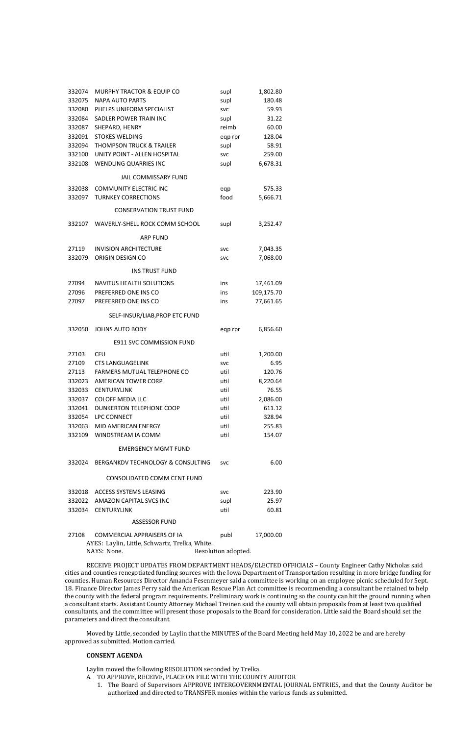| 332074 | MURPHY TRACTOR & EQUIP CO                | supl       | 1,802.80   |
|--------|------------------------------------------|------------|------------|
| 332075 | <b>NAPA AUTO PARTS</b>                   | supl       | 180.48     |
| 332080 | PHELPS UNIFORM SPECIALIST                | <b>SVC</b> | 59.93      |
| 332084 | SADLER POWER TRAIN INC                   | supl       | 31.22      |
| 332087 | SHEPARD, HENRY                           | reimb      | 60.00      |
| 332091 | <b>STOKES WELDING</b>                    | eqp rpr    | 128.04     |
| 332094 | <b>THOMPSON TRUCK &amp; TRAILER</b>      | supl       | 58.91      |
| 332100 | UNITY POINT - ALLEN HOSPITAL             | <b>SVC</b> | 259.00     |
| 332108 | WENDLING QUARRIES INC                    | supl       | 6,678.31   |
|        | JAIL COMMISSARY FUND                     |            |            |
| 332038 | <b>COMMUNITY ELECTRIC INC</b>            | eqp        | 575.33     |
| 332097 | <b>TURNKEY CORRECTIONS</b>               | food       | 5,666.71   |
|        | <b>CONSERVATION TRUST FUND</b>           |            |            |
| 332107 | WAVERLY-SHELL ROCK COMM SCHOOL           | supl       | 3,252.47   |
|        | <b>ARP FUND</b>                          |            |            |
| 27119  | <b>INVISION ARCHITECTURE</b>             | <b>SVC</b> | 7,043.35   |
| 332079 | ORIGIN DESIGN CO                         | <b>SVC</b> | 7,068.00   |
|        | <b>INS TRUST FUND</b>                    |            |            |
| 27094  | <b>NAVITUS HEALTH SOLUTIONS</b>          | ins        | 17,461.09  |
| 27096  | PREFERRED ONE INS CO                     | ins        | 109,175.70 |
| 27097  | PREFERRED ONE INS CO                     | ins        | 77,661.65  |
|        | SELF-INSUR/LIAB, PROP ETC FUND           |            |            |
| 332050 | <b>JOHNS AUTO BODY</b>                   | eqp rpr    | 6,856.60   |
|        | <b>E911 SVC COMMISSION FUND</b>          |            |            |
| 27103  | CFU                                      | util       | 1,200.00   |
| 27109  | <b>CTS LANGUAGELINK</b>                  | svc        | 6.95       |
|        | 27113 FARMERS MUTUAL TELEPHONE CO        | util       | 120.76     |
| 332023 | <b>AMERICAN TOWER CORP</b>               | util       | 8,220.64   |
|        | 332033 CENTURYLINK                       | util       | 76.55      |
| 332037 | <b>COLOFF MEDIA LLC</b>                  | util       | 2,086.00   |
| 332041 | <b>DUNKERTON TELEPHONE COOP</b>          | util       | 611.12     |
| 332054 | <b>LPC CONNECT</b>                       | util       | 328.94     |
|        | 332063 MID AMERICAN ENERGY               | util       | 255.83     |
|        | 332109 WINDSTREAM IA COMM                | util       | 154.07     |
|        | <b>EMERGENCY MGMT FUND</b>               |            |            |
|        | 332024 BERGANKDV TECHNOLOGY & CONSULTING | <b>SVC</b> | 6.00       |
|        | CONSOLIDATED COMM CENT FUND              |            |            |
|        | 332018 ACCESS SYSTEMS LEASING            | <b>SVC</b> | 223.90     |
|        | 332022 AMAZON CAPITAL SVCS INC           | supl       | 25.97      |
|        | 332034 CENTURYLINK                       | util       | 60.81      |
|        | <b>ASSESSOR FUND</b>                     |            |            |
|        |                                          |            |            |
| 27108  | COMMERCIAL APPRAISERS OF IA              | publ       | 17,000.00  |

AYES: Laylin, Little, Schwartz, Trelka, White. NAYS: None. Resolution adopted.

RECEIVE PROJECT UPDATES FROM DEPARTMENT HEADS/ELECTED OFFICIALS – County Engineer Cathy Nicholas said cities and counties renegotiated funding sources with the Iowa Department of Transportation resulting in more bridge funding for counties. Human Resources Director Amanda Fesenmeyer said a committee is working on an employee picnic scheduled for Sept. 18. Finance Director James Perry said the American Rescue Plan Act committee is recommending a consultant be retained to help the county with the federal program requirements. Preliminary work is continuing so the county can hit the ground running when a consultant starts. Assistant County Attorney Michael Treinen said the county will obtain proposals from at least two qualified consultants, and the committee will present those proposals to the Board for consideration. Little said the Board should set the parameters and direct the consultant.

Moved by Little, seconded by Laylin that the MINUTES of the Board Meeting held May 10, 2022 be and are hereby approved as submitted. Motion carried.

## **CONSENT AGENDA**

Laylin moved the following RESOLUTION seconded by Trelka.

- A. TO APPROVE, RECEIVE, PLACE ON FILE WITH THE COUNTY AUDITOR
	- 1. The Board of Supervisors APPROVE INTERGOVERNMENTAL JOURNAL ENTRIES, and that the County Auditor be authorized and directed to TRANSFER monies within the various funds as submitted.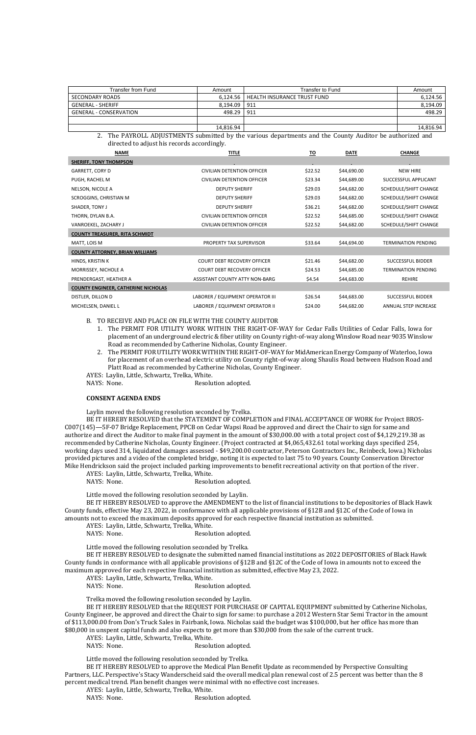| Transfer from Fund            | Amount    | Transfer to Fund                       | Amount    |
|-------------------------------|-----------|----------------------------------------|-----------|
| SECONDARY ROADS               |           | 6,124.56   HEALTH INSURANCE TRUST FUND | 6,124.56  |
| <b>GENERAL - SHERIFF</b>      | 8.194.09  | 911                                    | 8,194.09  |
| <b>GENERAL - CONSERVATION</b> | 498.29    | 911                                    | 498.29    |
|                               |           |                                        |           |
|                               | 14,816.94 |                                        | 14,816.94 |

2. The PAYROLL ADJUSTMENTS submitted by the various departments and the County Auditor be authorized and directed to adjust his records accordingly.

| <b>NAME</b>                                | <b>TITLE</b>                          | <u>TO</u> | <b>DATE</b> | <b>CHANGE</b>              |
|--------------------------------------------|---------------------------------------|-----------|-------------|----------------------------|
| <b>SHERIFF, TONY THOMPSON</b>              |                                       |           |             |                            |
| GARRETT, CORY D                            | CIVILIAN DETENTION OFFICER            | \$22.52   | \$44,690.00 | <b>NEW HIRE</b>            |
| PUGH, RACHEL M                             | CIVILIAN DETENTION OFFICER            | \$23.34   | \$44,689.00 | SUCCESSFUL APPLICANT       |
| NELSON, NICOLE A                           | <b>DEPUTY SHERIFF</b>                 | \$29.03   | \$44,682.00 | SCHEDULE/SHIFT CHANGE      |
| SCROGGINS, CHRISTIAN M                     | <b>DEPUTY SHERIFF</b>                 | \$29.03   | \$44,682.00 | SCHEDULE/SHIFT CHANGE      |
| SHADER, TONY J                             | <b>DEPUTY SHERIFF</b>                 | \$36.21   | \$44,682.00 | SCHEDULE/SHIFT CHANGE      |
| THORN, DYLAN B.A.                          | CIVILIAN DETENTION OFFICER            | \$22.52   | \$44,685.00 | SCHEDULE/SHIFT CHANGE      |
| VANROEKEL, ZACHARY J                       | CIVILIAN DETENTION OFFICER            | \$22.52   | \$44,682.00 | SCHEDULE/SHIFT CHANGE      |
| <b>COUNTY TREASURER, RITA SCHMIDT</b>      |                                       |           |             |                            |
| MATT, LOIS M                               | PROPERTY TAX SUPERVISOR               | \$33.64   | \$44,694.00 | <b>TERMINATION PENDING</b> |
| <b>COUNTY ATTORNEY, BRIAN WILLIAMS</b>     |                                       |           |             |                            |
| HINDS, KRISTIN K                           | <b>COURT DEBT RECOVERY OFFICER</b>    | \$21.46   | \$44,682.00 | <b>SUCCESSFUL BIDDER</b>   |
| MORRISSEY, NICHOLE A                       | <b>COURT DEBT RECOVERY OFFICER</b>    | \$24.53   | \$44,685.00 | <b>TERMINATION PENDING</b> |
| PRENDERGAST, HEATHER A                     | <b>ASSISTANT COUNTY ATTY NON-BARG</b> | \$4.54    | \$44,683.00 | <b>REHIRE</b>              |
| <b>COUNTY ENGINEER, CATHERINE NICHOLAS</b> |                                       |           |             |                            |
| DISTLER, DILLON D                          | LABORER / EQUIPMENT OPERATOR III      | \$26.54   | \$44,683.00 | SUCCESSFUL BIDDER          |
| MICHELSEN, DANIEL L                        | LABORER / EQUIPMENT OPERATOR II       | \$24.00   | \$44,682.00 | ANNUAL STEP INCREASE       |

B. TO RECEIVE AND PLACE ON FILE WITH THE COUNTY AUDITOR

AYES: Laylin, Little, Schwartz, Trelka, White. NAYS: None. Resolution adopted.

- 1. The PERMIT FOR UTILITY WORK WITHIN THE RIGHT-OF-WAY for Cedar Falls Utilities of Cedar Falls, Iowa for placement of an underground electric & fiber utility on County right-of-way along Winslow Road near 9035 Winslow Road as recommended by Catherine Nicholas, County Engineer.
- 2. The PERMIT FOR UTILITY WORK WITHIN THE RIGHT-OF-WAY for MidAmerican Energy Company of Waterloo, Iowa for placement of an overhead electric utility on County right-of-way along Shaulis Road between Hudson Road and Platt Road as recommended by Catherine Nicholas, County Engineer.
- AYES: Laylin, Little, Schwartz, Trelka, White.

NAYS: None. Resolution adopted.

## **CONSENT AGENDA ENDS**

Laylin moved the following resolution seconded by Trelka.

BE IT HEREBY RESOLVED that the STATEMENT OF COMPLETION and FINAL ACCEPTANCE OF WORK for Project BROS-C007(145)—5F-07 Bridge Replacement, PPCB on Cedar Wapsi Road be approved and direct the Chair to sign for same and authorize and direct the Auditor to make final payment in the amount of \$30,000.00 with a total project cost of \$4,129,219.38 as recommended by Catherine Nicholas, County Engineer. (Project contracted at \$4,065,432.61 total working days specified 254, working days used 314, liquidated damages assessed - \$49,200.00 contractor, Peterson Contractors Inc., Reinbeck, Iowa.) Nicholas provided pictures and a video of the completed bridge, noting it is expected to last 75 to 90 years. County Conservation Director Mike Hendrickson said the project included parking improvements to benefit recreational activity on that portion of the river.

Little moved the following resolution seconded by Laylin.

BE IT HEREBY RESOLVED to approve the AMENDMENT to the list of financial institutions to be depositories of Black Hawk County funds, effective May 23, 2022, in conformance with all applicable provisions of §12B and §12C of the Code of Iowa in amounts not to exceed the maximum deposits approved for each respective financial institution as submitted.

AYES: Laylin, Little, Schwartz, Trelka, White.

NAYS: None. Resolution adopted.

Little moved the following resolution seconded by Trelka.

BE IT HEREBY RESOLVED to designate the submitted named financial institutions as 2022 DEPOSITORIES of Black Hawk County funds in conformance with all applicable provisions of §12B and §12C of the Code of Iowa in amounts not to exceed the maximum approved for each respective financial institution as submitted, effective May 23, 2022.

AYES: Laylin, Little, Schwartz, Trelka, White.

NAYS: None. Resolution adopted.

Trelka moved the following resolution seconded by Laylin.

BE IT HEREBY RESOLVED that the REQUEST FOR PURCHASE OF CAPITAL EQUIPMENT submitted by Catherine Nicholas, County Engineer, be approved and direct the Chair to sign for same: to purchase a 2012 Western Star Semi Tractor in the amount of \$113,000.00 from Don's Truck Sales in Fairbank, Iowa. Nicholas said the budget was \$100,000, but her office has more than \$80,000 in unspent capital funds and also expects to get more than \$30,000 from the sale of the current truck.

AYES: Laylin, Little, Schwartz, Trelka, White.

NAYS: None. Resolution adopted.

Little moved the following resolution seconded by Trelka.

BE IT HEREBY RESOLVED to approve the Medical Plan Benefit Update as recommended by Perspective Consulting Partners, LLC. Perspective's Stacy Wanderscheid said the overall medical plan renewal cost of 2.5 percent was better than the 8 percent medical trend. Plan benefit changes were minimal with no effective cost increases.

AYES: Laylin, Little, Schwartz, Trelka, White.

NAYS: None. Resolution adopted.